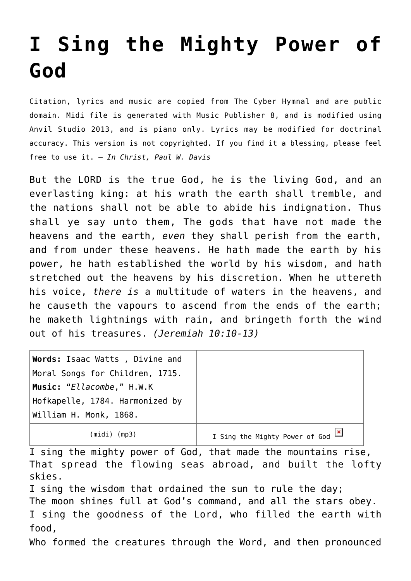## **[I Sing the Mighty Power of](http://reproachofmen.org/hymns-and-music/i-sing-the-mighty-power-of-god/) [God](http://reproachofmen.org/hymns-and-music/i-sing-the-mighty-power-of-god/)**

Citation, lyrics and music are copied from [The Cyber Hymnal](http://www.hymntime.com/tch/) and are public domain. Midi file is generated with [Music Publisher 8](http://www.braeburn.co.uk/mp.htm), and is modified using [Anvil Studio 2013](http://www.anvilstudio.com/), and is piano only. Lyrics may be modified for doctrinal accuracy. This version is not copyrighted. If you find it a blessing, please feel free to use it. — *In Christ, Paul W. Davis*

But the LORD is the true God, he is the living God, and an everlasting king: at his wrath the earth shall tremble, and the nations shall not be able to abide his indignation. Thus shall ye say unto them, The gods that have not made the heavens and the earth, *even* they shall perish from the earth, and from under these heavens. He hath made the earth by his power, he hath established the world by his wisdom, and hath stretched out the heavens by his discretion. When he uttereth his voice, *there is* a multitude of waters in the heavens, and he causeth the vapours to ascend from the ends of the earth; he maketh lightnings with rain, and bringeth forth the wind out of his treasures. *(Jeremiah 10:10-13)*

| Words: Isaac Watts, Divine and  |                                                                    |
|---------------------------------|--------------------------------------------------------------------|
| Moral Songs for Children, 1715. |                                                                    |
| Music: "Ellacombe," H.W.K       |                                                                    |
| Hofkapelle, 1784. Harmonized by |                                                                    |
| William H. Monk, 1868.          |                                                                    |
| (midi)<br>(mp3)                 | I Sing the Mighty Power of God $\frac{ \mathbf{x} }{ \mathbf{x} }$ |

I sing the mighty power of God, that made the mountains rise, That spread the flowing seas abroad, and built the lofty skies.

I sing the wisdom that ordained the sun to rule the day; The moon shines full at God's command, and all the stars obey. I sing the goodness of the Lord, who filled the earth with food,

Who formed the creatures through the Word, and then pronounced